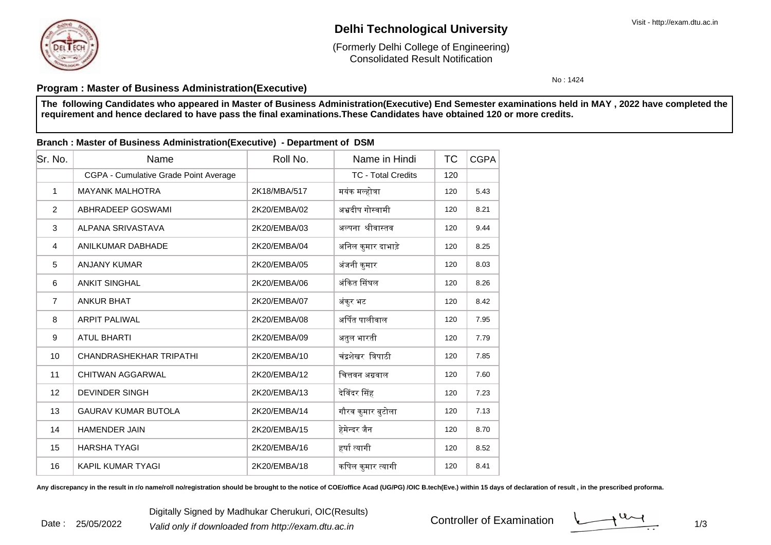

Date : 25/05/2022

## **Delhi Technological University**

Consolidated Result Notification(Formerly Delhi College of Engineering)

No : 1424

### **Program : Master of Business Administration(Executive)**

**The following Candidates who appeared in Master of Business Administration(Executive) End Semester examinations held in MAY , 2022 have completed therequirement and hence declared to have pass the final examinations.These Candidates have obtained 120 or more credits.**

#### **Branch : Master of Business Administration(Executive) - Department of DSM**

| Sr. No.        | Name                                  | Roll No.     | Name in Hindi             | ТC  | <b>CGPA</b> |
|----------------|---------------------------------------|--------------|---------------------------|-----|-------------|
|                | CGPA - Cumulative Grade Point Average |              | <b>TC - Total Credits</b> | 120 |             |
| 1              | <b>MAYANK MALHOTRA</b>                | 2K18/MBA/517 | मयंक मल्होत्रा            | 120 | 5.43        |
| 2              | ABHRADEEP GOSWAMI                     | 2K20/EMBA/02 | अभ्रदीप गोस्वामी          | 120 | 8.21        |
| 3              | ALPANA SRIVASTAVA                     | 2K20/EMBA/03 | अल्पना श्रीवास्तव         | 120 | 9.44        |
| $\overline{4}$ | <b>ANILKUMAR DABHADE</b>              | 2K20/EMBA/04 | अनिल कुमार दाभाड़े        | 120 | 8.25        |
| 5              | <b>ANJANY KUMAR</b>                   | 2K20/EMBA/05 | अंजनी कुमार               | 120 | 8.03        |
| 6              | <b>ANKIT SINGHAL</b>                  | 2K20/EMBA/06 | अंकित सिंघल               | 120 | 8.26        |
| $\overline{7}$ | <b>ANKUR BHAT</b>                     | 2K20/EMBA/07 | अंकुर भट                  | 120 | 8.42        |
| 8              | <b>ARPIT PALIWAL</b>                  | 2K20/EMBA/08 | अर्पित पालीवाल            | 120 | 7.95        |
| 9              | <b>ATUL BHARTI</b>                    | 2K20/EMBA/09 | अतुल भारती                | 120 | 7.79        |
| 10             | CHANDRASHEKHAR TRIPATHI               | 2K20/EMBA/10 | चंद्रशेखर त्रिपाठी        | 120 | 7.85        |
| 11             | <b>CHITWAN AGGARWAL</b>               | 2K20/EMBA/12 | चित्तवन अग्रवाल           | 120 | 7.60        |
| 12             | <b>DEVINDER SINGH</b>                 | 2K20/EMBA/13 | देविंदर सिंह              | 120 | 7.23        |
| 13             | <b>GAURAV KUMAR BUTOLA</b>            | 2K20/EMBA/14 | गौरव कुमार बुटोला         | 120 | 7.13        |
| 14             | <b>HAMENDER JAIN</b>                  | 2K20/EMBA/15 | हेमेन्दर जैन              | 120 | 8.70        |
| 15             | <b>HARSHA TYAGI</b>                   | 2K20/EMBA/16 | हर्षा त्यागी              | 120 | 8.52        |
| 16             | <b>KAPIL KUMAR TYAGI</b>              | 2K20/EMBA/18 | कपिल कुमार त्यागी         | 120 | 8.41        |

Any discrepancy in the result in r/o name/roll no/registration should be brought to the notice of COE/office Acad (UG/PG) /OIC B.tech(Eve.) within 15 days of declaration of result, in the prescribed proforma.

Controller of Examination

 $1/3$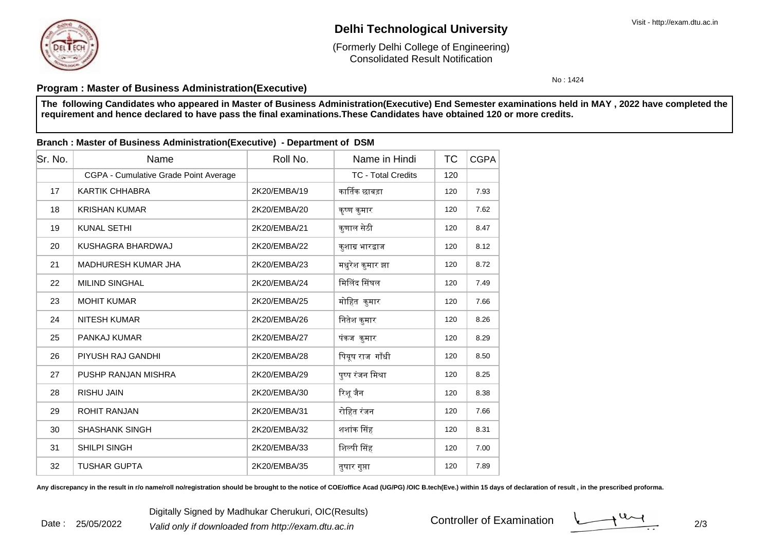Date : 25/05/2022

# **Delhi Technological University**

Consolidated Result Notification(Formerly Delhi College of Engineering)

No : 1424

## **Program : Master of Business Administration(Executive)**

**The following Candidates who appeared in Master of Business Administration(Executive) End Semester examinations held in MAY , 2022 have completed therequirement and hence declared to have pass the final examinations.These Candidates have obtained 120 or more credits.**

### **Branch : Master of Business Administration(Executive) - Department of DSM**

| Sr. No. | Name                                  | Roll No.     | Name in Hindi             | <b>TC</b> | <b>CGPA</b> |
|---------|---------------------------------------|--------------|---------------------------|-----------|-------------|
|         | CGPA - Cumulative Grade Point Average |              | <b>TC - Total Credits</b> | 120       |             |
| 17      | <b>KARTIK CHHABRA</b>                 | 2K20/EMBA/19 | कार्तिक छाबडा             | 120       | 7.93        |
| 18      | <b>KRISHAN KUMAR</b>                  | 2K20/EMBA/20 | कृष्ण कुमार               | 120       | 7.62        |
| 19      | <b>KUNAL SETHI</b>                    | 2K20/EMBA/21 | कुणाल सेठी                | 120       | 8.47        |
| 20      | KUSHAGRA BHARDWAJ                     | 2K20/EMBA/22 | कुशाग्र भारद्वाज          | 120       | 8.12        |
| 21      | MADHURESH KUMAR JHA                   | 2K20/EMBA/23 | मधुरेश कुमार झा           | 120       | 8.72        |
| 22      | <b>MILIND SINGHAL</b>                 | 2K20/EMBA/24 | मिलिंद सिंघल              | 120       | 7.49        |
| 23      | <b>MOHIT KUMAR</b>                    | 2K20/EMBA/25 | मोहित कुमार               | 120       | 7.66        |
| 24      | <b>NITESH KUMAR</b>                   | 2K20/EMBA/26 | नितेश कुमार               | 120       | 8.26        |
| 25      | PANKAJ KUMAR                          | 2K20/EMBA/27 | पंकज कुमार                | 120       | 8.29        |
| 26      | PIYUSH RAJ GANDHI                     | 2K20/EMBA/28 | पियूष राज गाँधी           | 120       | 8.50        |
| 27      | PUSHP RANJAN MISHRA                   | 2K20/EMBA/29 | पुष्प रंजन मिश्रा         | 120       | 8.25        |
| 28      | <b>RISHU JAIN</b>                     | 2K20/EMBA/30 | रिशू जैन                  | 120       | 8.38        |
| 29      | <b>ROHIT RANJAN</b>                   | 2K20/EMBA/31 | रोहित रंजन                | 120       | 7.66        |
| 30      | <b>SHASHANK SINGH</b>                 | 2K20/EMBA/32 | शशांक सिंह                | 120       | 8.31        |
| 31      | <b>SHILPI SINGH</b>                   | 2K20/EMBA/33 | शिल्पी सिंह               | 120       | 7.00        |
| 32      | <b>TUSHAR GUPTA</b>                   | 2K20/EMBA/35 | तुषार गुप्ता              | 120       | 7.89        |

Any discrepancy in the result in r/o name/roll no/registration should be brought to the notice of COE/office Acad (UG/PG) /OIC B.tech(Eve.) within 15 days of declaration of result, in the prescribed proforma.

Digitally Signed by Madhukar Cherukuri, OIC(Results)<br><sup>2</sup> Valid only if downloaded from http://exam.dtu.ac.in Controller of Examination

Controller of Examination

 $\frac{1}{2}$  2/3